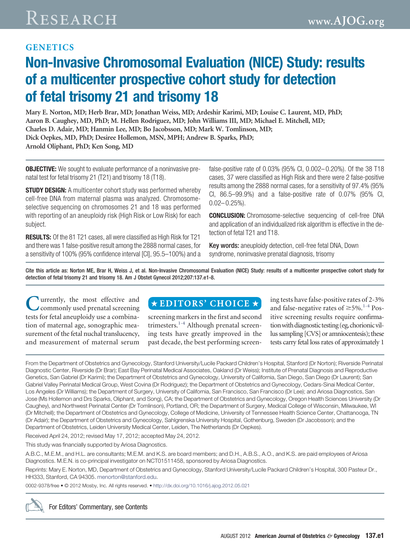## **GENETICS**

# **Non-Invasive Chromosomal Evaluation (NICE) Study: results of a multicenter prospective cohort study for detection of fetal trisomy 21 and trisomy 18**

**Mary E. Norton, MD; Herb Brar, MD; Jonathan Weiss, MD; Ardeshir Karimi, MD; Louise C. Laurent, MD, PhD; Aaron B. Caughey, MD, PhD; M. Hellen Rodriguez, MD; John Williams III, MD; Michael E. Mitchell, MD; Charles D. Adair, MD; Hanmin Lee, MD; Bo Jacobsson, MD; Mark W. Tomlinson, MD; Dick Oepkes, MD, PhD; Desiree Hollemon, MSN, MPH; Andrew B. Sparks, PhD; Arnold Oliphant, PhD; Ken Song, MD**

**OBJECTIVE:** We sought to evaluate performance of a noninvasive prenatal test for fetal trisomy 21 (T21) and trisomy 18 (T18).

**STUDY DESIGN:** A multicenter cohort study was performed whereby cell-free DNA from maternal plasma was analyzed. Chromosomeselective sequencing on chromosomes 21 and 18 was performed with reporting of an aneuploidy risk (High Risk or Low Risk) for each subject.

**RESULTS:** Of the 81 T21 cases, all were classified as High Risk for T21 and there was 1 false-positive result among the 2888 normal cases, for a sensitivity of 100% (95% confidence interval [CI], 95.5–100%) and a false-positive rate of 0.03% (95% CI, 0.002– 0.20%). Of the 38 T18 cases, 37 were classified as High Risk and there were 2 false-positive results among the 2888 normal cases, for a sensitivity of 97.4% (95% CI, 86.5–99.9%) and a false-positive rate of 0.07% (95% CI,  $0.02 - 0.25\%$ ).

**CONCLUSION:** Chromosome-selective sequencing of cell-free DNA and application of an individualized risk algorithm is effective in the detection of fetal T21 and T18.

Key words: aneuploidy detection, cell-free fetal DNA, Down syndrome, noninvasive prenatal diagnosis, trisomy

Cite this article as: Norton ME, Brar H, Weiss J, et al. Non-Invasive Chromosomal Evaluation (NICE) Study: results of a multicenter prospective cohort study for detection of fetal trisomy 21 and trisomy 18. Am J Obstet Gynecol 2012;207:137.e1-8.

**Lurrently, the most effective and** commonly used prenatal screening tests for fetal aneuploidy use a combination of maternal age, sonographic measurement of the fetal nuchal translucency, and measurement of maternal serum

# $\star$ EDITORS' CHOICE  $\star$

screening markers in the first and second trimesters.<sup>[1-4](#page-7-0)</sup> Although prenatal screening tests have greatly improved in the past decade, the best performing screen-

ing tests have false-positive rates of 2-3% and false-negative rates of  $\geq$ 5%.<sup>[1-4](#page-7-0)</sup> Positive screening results require confirmation with diagnostic testing (eg, chorionic villus sampling [CVS] or amniocentesis); these tests carry fetal loss rates of approximately 1

From the Department of Obstetrics and Gynecology, Stanford University/Lucile Packard Children's Hospital, Stanford (Dr Norton); Riverside Perinatal Diagnostic Center, Riverside (Dr Brar); East Bay Perinatal Medical Associates, Oakland (Dr Weiss); Institute of Prenatal Diagnosis and Reproductive Genetics, San Gabriel (Dr Karimi); the Department of Obstetrics and Gynecology, University of California, San Diego, San Diego (Dr Laurent); San Gabriel Valley Perinatal Medical Group, West Covina (Dr Rodriguez); the Department of Obstetrics and Gynecology, Cedars-Sinai Medical Center, Los Angeles (Dr Williams); the Department of Surgery, University of California, San Francisco, San Francisco (Dr Lee); and Ariosa Diagnostics, San Jose (Ms Hollemon and Drs Sparks, Oliphant, and Song), CA; the Department of Obstetrics and Gynecology, Oregon Health Sciences University (Dr Caughey), and Northwest Perinatal Center (Dr Tomlinson), Portland, OR; the Department of Surgery, Medical College of Wisconsin, Milwaukee, WI (Dr Mitchell); the Department of Obstetrics and Gynecology, College of Medicine, University of Tennessee Health Science Center, Chattanooga, TN (Dr Adair); the Department of Obstetrics and Gynecology, Sahlgrenska University Hospital, Gothenburg, Sweden (Dr Jacobsson); and the Department of Obstetrics, Leiden University Medical Center, Leiden, The Netherlands (Dr Oepkes).

Received April 24, 2012; revised May 17, 2012; accepted May 24, 2012.

This study was financially supported by Ariosa Diagnostics.

A.B.C., M.E.M., and H.L. are consultants; M.E.M. and K.S. are board members; and D.H., A.B.S., A.O., and K.S. are paid employees of Ariosa Diagnostics. M.E.N. is co-principal investigator on NCT01511458, sponsored by Ariosa Diagnostics.

Reprints: Mary E. Norton, MD, Department of Obstetrics and Gynecology, Stanford University/Lucile Packard Children's Hospital, 300 Pasteur Dr., HH333, Stanford, CA 94305. [menorton@stanford.edu.](mailto:menorton@stanford.edu)

0002-9378/free • © 2012 Mosby, Inc. All rights reserved. • <http://dx.doi.org/10.1016/j.ajog.2012.05.021>

For Editors' Commentary, see Contents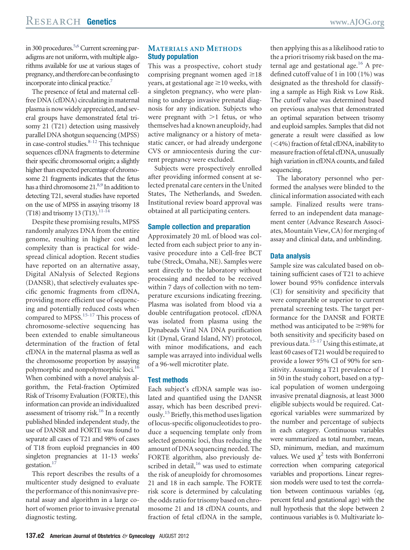in 300 procedures.<sup>5,6</sup> Current screening paradigms are not uniform, with multiple algorithms available for use at various stages of pregnancy, and therefore can be confusing to incorporate into clinical practice.<sup>7</sup>

The presence of fetal and maternal cellfree DNA (cfDNA) circulating in maternal plasma is now widely appreciated, and several groups have demonstrated fetal trisomy 21 (T21) detection using massively parallel DNA shotgun sequencing (MPSS) in case-control studies.<sup>8-12</sup> This technique sequences cfDNA fragments to determine their specific chromosomal origin; a slightly higher than expected percentage of chromosome 21 fragments indicates that the fetus has a third chromosome 21.<sup>8,9</sup> In addition to detecting T21, several studies have reported on the use of MPSS in assaying trisomy 18  $(T18)$  and trisomy 13  $(T13)$ .<sup>11-14</sup>

Despite these promising results, MPSS randomly analyzes DNA from the entire genome, resulting in higher cost and complexity than is practical for widespread clinical adoption. Recent studies have reported on an alternative assay, Digital ANalysis of Selected Regions (DANSR), that selectively evaluates specific genomic fragments from cfDNA, providing more efficient use of sequencing and potentially reduced costs when compared to MPSS.<sup>15-17</sup> This process of chromosome-selective sequencing has been extended to enable simultaneous determination of the fraction of fetal cfDNA in the maternal plasma as well as the chromosome proportion by assaying polymorphic and nonpolymorphic loci.<sup>16</sup> When combined with a novel analysis algorithm, the Fetal-fraction Optimized Risk of Trisomy Evaluation (FORTE), this information can provide an individualized assessment of trisomy risk.<sup>16</sup> In a recently published blinded independent study, the use of DANSR and FORTE was found to separate all cases of T21 and 98% of cases of T18 from euploid pregnancies in 400 singleton pregnancies at 11-13 weeks' gestation[.17](#page-7-7)

This report describes the results of a multicenter study designed to evaluate the performance of this noninvasive prenatal assay and algorithm in a large cohort of women prior to invasive prenatal diagnostic testing.

#### **MATERIALS AND METHODS Study population**

This was a prospective, cohort study comprising pregnant women aged  $\geq 18$ years, at gestational age  $\geq$  10 weeks, with a singleton pregnancy, who were planning to undergo invasive prenatal diagnosis for any indication. Subjects who were pregnant with  $>1$  fetus, or who themselves had a known aneuploidy, had active malignancy or a history of metastatic cancer, or had already undergone CVS or amniocentesis during the current pregnancy were excluded.

Subjects were prospectively enrolled after providing informed consent at selected prenatal care centers in the United States, The Netherlands, and Sweden. Institutional review board approval was obtained at all participating centers.

#### **Sample collection and preparation**

Approximately 20 mL of blood was collected from each subject prior to any invasive procedure into a Cell-free BCT tube (Streck, Omaha, NE). Samples were sent directly to the laboratory without processing and needed to be received within 7 days of collection with no temperature excursions indicating freezing. Plasma was isolated from blood via a double centrifugation protocol. cfDNA was isolated from plasma using the Dynabeads Viral NA DNA purification kit (Dynal, Grand Island, NY) protocol, with minor modifications, and each sample was arrayed into individual wells of a 96-well microtiter plate.

#### **Test methods**

Each subject's cfDNA sample was isolated and quantified using the DANSR assay, which has been described previ-ously.<sup>[15](#page-7-5)</sup> Briefly, this method uses ligation of locus-specific oligonucleotides to produce a sequencing template only from selected genomic loci, thus reducing the amount of DNA sequencing needed. The FORTE algorithm, also previously described in detail,<sup>16</sup> was used to estimate the risk of aneuploidy for chromosomes 21 and 18 in each sample. The FORTE risk score is determined by calculating the odds ratio for trisomy based on chromosome 21 and 18 cfDNA counts, and fraction of fetal cfDNA in the sample,

then applying this as a likelihood ratio to the a priori trisomy risk based on the maternal age and gestational age.<sup>16</sup> A predefined cutoff value of 1 in 100 (1%) was designated as the threshold for classifying a sample as High Risk vs Low Risk. The cutoff value was determined based on previous analyses that demonstrated an optimal separation between trisomy and euploid samples. Samples that did not generate a result were classified as low (<4%) fraction of fetal cfDNA, inability to measure fraction of fetal cfDNA, unusually high variation in cfDNA counts, and failed sequencing.

The laboratory personnel who performed the analyses were blinded to the clinical information associated with each sample. Finalized results were transferred to an independent data management center (Advance Research Associates, Mountain View, CA) for merging of assay and clinical data, and unblinding.

#### **Data analysis**

Sample size was calculated based on obtaining sufficient cases of T21 to achieve lower bound 95% confidence intervals (CI) for sensitivity and specificity that were comparable or superior to current prenatal screening tests. The target performance for the DANSR and FORTE method was anticipated to be  $\geq$ 98% for both sensitivity and specificity based on previous data.<sup>15-17</sup> Using this estimate, at least 60 cases of T21 would be required to provide a lower 95% CI of 90% for sensitivity. Assuming a T21 prevalence of 1 in 50 in the study cohort, based on a typical population of women undergoing invasive prenatal diagnosis, at least 3000 eligible subjects would be required. Categorical variables were summarized by the number and percentage of subjects in each category. Continuous variables were summarized as total number, mean, SD, minimum, median, and maximum values. We used  $\chi^2$  tests with Bonferroni correction when comparing categorical variables and proportions. Linear regression models were used to test the correlation between continuous variables (eg, percent fetal and gestational age) with the null hypothesis that the slope between 2 continuous variables is 0. Multivariate lo-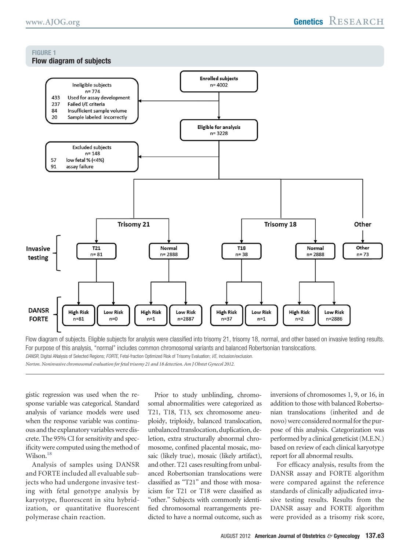#### <span id="page-2-0"></span>**FIGURE 1 Flow diagram of subjects**



Flow diagram of subjects. Eligible subjects for analysis were classified into trisomy 21, trisomy 18, normal, and other based on invasive testing results. For purpose of this analysis, "normal" includes common chromosomal variants and balanced Robertsonian translocations. *DANSR,* Digital ANalysis of Selected Regions; *FORTE,* Fetal-fraction Optimized Risk of Trisomy Evaluation; *I/E,* inclusion/exclusion.

*Norton. Noninvasive chromosomal evaluation for fetal trisomy 21 and 18 detection. Am J Obstet Gynecol 2012.*

gistic regression was used when the response variable was categorical. Standard analysis of variance models were used when the response variable was continuous and the explanatory variableswere discrete. The 95% CI for sensitivity and specificity were computed using the method of Wilson.<sup>18</sup>

Analysis of samples using DANSR and FORTE included all evaluable subjects who had undergone invasive testing with fetal genotype analysis by karyotype, fluorescent in situ hybridization, or quantitative fluorescent polymerase chain reaction.

Prior to study unblinding, chromosomal abnormalities were categorized as T21, T18, T13, sex chromosome aneuploidy, triploidy, balanced translocation, unbalanced translocation, duplication, deletion, extra structurally abnormal chromosome, confined placental mosaic, mosaic (likely true), mosaic (likely artifact), and other. T21 cases resulting from unbalanced Robertsonian translocations were classified as "T21" and those with mosaicism for T21 or T18 were classified as "other." Subjects with commonly identified chromosomal rearrangements predicted to have a normal outcome, such as inversions of chromosomes 1, 9, or 16, in addition to those with balanced Robertsonian translocations (inherited and de novo) were considered normal for the purpose of this analysis. Categorization was performed by a clinical geneticist (M.E.N.) based on review of each clinical karyotype report for all abnormal results.

For efficacy analysis, results from the DANSR assay and FORTE algorithm were compared against the reference standards of clinically adjudicated invasive testing results. Results from the DANSR assay and FORTE algorithm were provided as a trisomy risk score,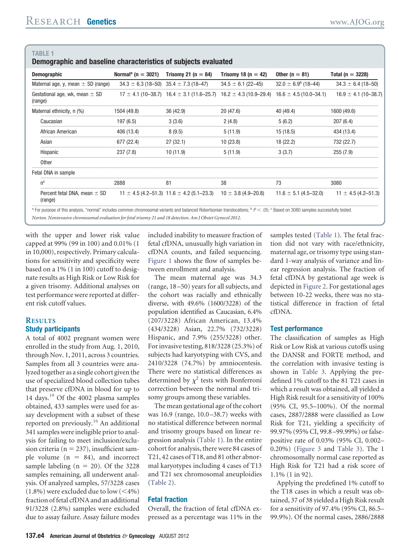**Demographic and baseline characteristics of subjects evaluated**

| <b>Demographic</b>                            | Normal <sup>a</sup> (n = 3021) Trisomy 21 (n = 84) |                                                                           | Trisomy 18 (n = 42)                                                                                     | Other ( $n = 81$ )                                    | Total ( $n = 3228$ )     |
|-----------------------------------------------|----------------------------------------------------|---------------------------------------------------------------------------|---------------------------------------------------------------------------------------------------------|-------------------------------------------------------|--------------------------|
| Maternal age, y, mean $\pm$ SD (range)        |                                                    | $34.3 \pm 6.3$ (18-50) $35.4 \pm 7.3$ (18-47)                             | $34.5 \pm 6.1$ (22-45)                                                                                  | $32.0 \pm 6.9^{\circ}$ (18-44)                        | $34.3 \pm 6.4$ (18-50)   |
| Gestational age, wk, mean $\pm$ SD<br>(range) |                                                    |                                                                           | $17 \pm 4.1$ (10–38.7) 16.4 $\pm$ 3.1 (11.6–25.7) 16.2 $\pm$ 4.3 (10.9–29.4) 16.6 $\pm$ 4.5 (10.0–34.1) |                                                       | $16.9 \pm 4.1$ (10–38.7) |
| Maternal ethnicity, n (%)                     | 1504 (49.8)                                        | 36(42.9)                                                                  | 20 (47.6)                                                                                               | 40 (49.4)                                             | 1600 (49.6)              |
| Caucasian                                     | 197 (6.5)                                          | 3(3.6)                                                                    | 2(4.8)                                                                                                  | 5(6.2)                                                | 207(6.4)                 |
| African American                              | 406 (13.4)                                         | 8(9.5)                                                                    | 5(11.9)                                                                                                 | 15 (18.5)                                             | 434 (13.4)               |
| Asian                                         | 677 (22.4)                                         | 27(32.1)                                                                  | 10 (23.8)                                                                                               | 18 (22.2)                                             | 732 (22.7)               |
| Hispanic                                      | <br>237 (7.8)                                      | 10 (11.9)                                                                 | 5(11.9)                                                                                                 | 3 (3.7)                                               | <br>255(7.9)             |
| Other                                         |                                                    |                                                                           |                                                                                                         |                                                       |                          |
| Fetal DNA in sample                           |                                                    |                                                                           |                                                                                                         |                                                       |                          |
| n۳                                            | 2888                                               | 81                                                                        | 38                                                                                                      |                                                       | 3080                     |
| Percent fetal DNA, mean $\pm$ SD<br>(range)   |                                                    | $11 \pm 4.5$ (4.2–51.3) 11.6 $\pm$ 4.2 (5.1–23.3) 10 $\pm$ 3.8 (4.9–20.8) |                                                                                                         | $11.6 \pm 5.1 (4.5 - 32.0)$ $11 \pm 4.5 (4.2 - 51.3)$ |                          |

*Norton. Noninvasive chromosomal evaluation for fetal trisomy 21 and 18 detection. Am J Obstet Gynecol 2012.*

with the upper and lower risk value capped at 99% (99 in 100) and 0.01% (1 in 10,000), respectively. Primary calculations for sensitivity and specificity were based on a 1% (1 in 100) cutoff to designate results as High Risk or Low Risk for a given trisomy. Additional analyses on test performance were reported at different risk cutoff values.

#### **RESULTS Study participants**

A total of 4002 pregnant women were enrolled in the study from Aug. 1, 2010, through Nov. 1, 2011, across 3 countries. Samples from all 3 countries were analyzed together as a single cohort given the use of specialized blood collection tubes that preserve cfDNA in blood for up to 14 days.<sup>[19](#page-7-9)</sup> Of the 4002 plasma samples obtained, 433 samples were used for assay development with a subset of these reported on previously.<sup>16</sup> An additional 341 samples were ineligible prior to analysis for failing to meet inclusion/exclusion criteria ( $n = 237$ ), insufficient sample volume  $(n = 84)$ , and incorrect sample labeling ( $n = 20$ ). Of the 3228 samples remaining, all underwent analysis. Of analyzed samples, 57/3228 cases  $(1.8\%)$  were excluded due to low  $(<\!\!4\%)$ fraction of fetal cfDNA and an additional 91/3228 (2.8%) samples were excluded due to assay failure. Assay failure modes

included inability to measure fraction of fetal cfDNA, unusually high variation in cfDNA counts, and failed sequencing. [Figure 1](#page-2-0) shows the flow of samples between enrollment and analysis.

The mean maternal age was 34.3 (range, 18 –50) years for all subjects, and the cohort was racially and ethnically diverse, with 49.6% (1600/3228) of the population identified as Caucasian, 6.4% (207/3228) African American, 13.4% (434/3228) Asian, 22.7% (732/3228) Hispanic, and 7.9% (255/3228) other. For invasive testing, 818/3228 (25.3%) of subjects had karyotyping with CVS, and 2410/3228 (74.7%) by amniocentesis. There were no statistical differences as determined by  $\chi^2$  tests with Bonferroni correction between the normal and trisomy groups among these variables.

The mean gestational age of the cohort was 16.9 (range, 10.0 –38.7) weeks with no statistical difference between normal and trisomy groups based on linear regression analysis (Table 1). In the entire cohort for analysis, there were 84 cases of T21, 42 cases of T18, and 81 other abnormal karyotypes including 4 cases of T13 and T21 sex chromosomal aneuploidies [\(Table 2\)](#page-4-0).

## **Fetal fraction**

Overall, the fraction of fetal cfDNA expressed as a percentage was 11% in the

samples tested (Table 1). The fetal fraction did not vary with race/ethnicity, maternal age, or trisomy type using standard 1-way analysis of variance and linear regression analysis. The fraction of fetal cfDNA by gestational age week is depicted in [Figure 2.](#page-5-0) For gestational ages between 10-22 weeks, there was no statistical difference in fraction of fetal cfDNA.

#### **Test performance**

The classification of samples as High Risk or Low Risk at various cutoffs using the DANSR and FORTE method, and the correlation with invasive testing is shown in [Table 3.](#page-5-1) Applying the predefined 1% cutoff to the 81 T21 cases in which a result was obtained, all yielded a High Risk result for a sensitivity of 100% (95% CI, 95.5–100%). Of the normal cases, 2887/2888 were classified as Low Risk for T21, yielding a specificity of 99.97% (95% CI, 99.8 –99.99%) or falsepositive rate of 0.03% (95% CI, 0.002– 0.20%) [\(Figure 3](#page-6-0) and [Table 3\)](#page-5-1). The 1 chromosomally normal case reported as High Risk for T21 had a risk score of 1.1% (1 in 92).

Applying the predefined 1% cutoff to the T18 cases in which a result was obtained, 37 of 38 yielded a High Risk result for a sensitivity of 97.4% (95% CI, 86.5– 99.9%). Of the normal cases, 2886/2888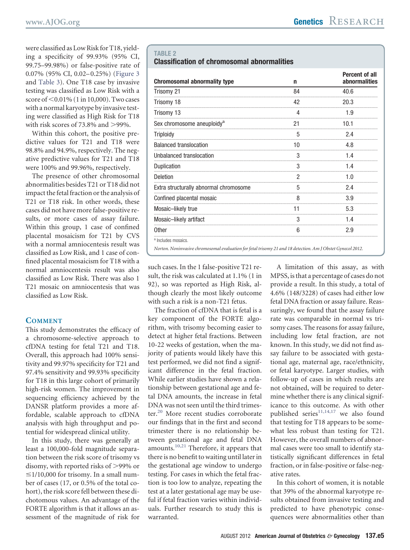<span id="page-4-0"></span>were classified as Low Risk for T18, yielding a specificity of 99.93% (95% CI, 99.75–99.98%) or false-positive rate of 0.07% (95% CI, 0.02– 0.25%) [\(Figure 3](#page-6-0) and [Table 3\)](#page-5-1). One T18 case by invasive testing was classified as Low Risk with a score of  $\leq$  0.01% (1 in 10,000). Two cases with a normal karyotype by invasive testing were classified as High Risk for T18 with risk scores of 73.8% and  $>$ 99%.

Within this cohort, the positive predictive values for T21 and T18 were 98.8% and 94.9%, respectively. The negative predictive values for T21 and T18 were 100% and 99.96%, respectively.

The presence of other chromosomal abnormalities besides T21 or T18 did not impact the fetal fraction or the analysis of T21 or T18 risk. In other words, these cases did not have more false-positive results, or more cases of assay failure. Within this group, 1 case of confined placental mosaicism for T21 by CVS with a normal amniocentesis result was classified as Low Risk, and 1 case of confined placental mosaicism for T18 with a normal amniocentesis result was also classified as Low Risk. There was also 1 T21 mosaic on amniocentesis that was classified as Low Risk.

## **COMMENT**

This study demonstrates the efficacy of a chromosome-selective approach to cfDNA testing for fetal T21 and T18. Overall, this approach had 100% sensitivity and 99.97% specificity for T21 and 97.4% sensitivity and 99.93% specificity for T18 in this large cohort of primarily high-risk women. The improvement in sequencing efficiency achieved by the DANSR platform provides a more affordable, scalable approach to cfDNA analysis with high throughput and potential for widespread clinical utility.

In this study, there was generally at least a 100,000-fold magnitude separation between the risk score of trisomy vs disomy, with reported risks of >99% or  $\leq$ 1/10,000 for trisomy. In a small number of cases (17, or 0.5% of the total cohort), the risk score fell between these dichotomous values. An advantage of the FORTE algorithm is that it allows an assessment of the magnitude of risk for

#### **TABLE 2**

#### **Classification of chromosomal abnormalities**

| <b>Chromosomal abnormality type</b>                                                                         | n  | <b>Percent of all</b><br>abnormalities |  |
|-------------------------------------------------------------------------------------------------------------|----|----------------------------------------|--|
| Trisomy 21                                                                                                  | 84 | 40.6                                   |  |
| Trisomy 18                                                                                                  | 42 | 20.3                                   |  |
| Trisomy 13                                                                                                  |    | 1.9                                    |  |
| Sex chromosome aneuploidy <sup>a</sup>                                                                      | 21 | 10.1                                   |  |
| <b>Triploidy</b>                                                                                            | 5  | 2.4                                    |  |
| <b>Balanced translocation</b>                                                                               | 10 | 4.8                                    |  |
| Unbalanced translocation                                                                                    | 3  | 14                                     |  |
| Duplication                                                                                                 | 3  | 1.4                                    |  |
| <b>Deletion</b>                                                                                             | 2  | 1.0                                    |  |
| Extra structurally abnormal chromosome                                                                      | 5  | 2.4                                    |  |
| Confined placental mosaic                                                                                   | 8  | 3.9                                    |  |
| Mosaic-likely true                                                                                          | 11 | 5.3                                    |  |
| Mosaic-likely artifact                                                                                      | 3  | 1.4                                    |  |
| <b>Other</b>                                                                                                | 6  | 2.9                                    |  |
| <sup>a</sup> Includes mosaics.                                                                              |    |                                        |  |
| Norton. Noninvasive chromosomal evaluation for fetal trisomy 21 and 18 detection. Am J Obstet Gynecol 2012. |    |                                        |  |

such cases. In the 1 false-positive T21 result, the risk was calculated at 1.1% (1 in 92), so was reported as High Risk, although clearly the most likely outcome with such a risk is a non-T21 fetus.

The fraction of cfDNA that is fetal is a key component of the FORTE algorithm, with trisomy becoming easier to detect at higher fetal fractions. Between 10-22 weeks of gestation, when the majority of patients would likely have this test performed, we did not find a significant difference in the fetal fraction. While earlier studies have shown a relationship between gestational age and fetal DNA amounts, the increase in fetal DNA was not seen until the third trimes-ter.<sup>[20](#page-7-10)</sup> More recent studies corroborate our findings that in the first and second trimester there is no relationship between gestational age and fetal DNA amounts.<sup>[10,21](#page-7-11)</sup> Therefore, it appears that there is no benefit to waiting until later in the gestational age window to undergo testing. For cases in which the fetal fraction is too low to analyze, repeating the test at a later gestational age may be useful if fetal fraction varies within individuals. Further research to study this is warranted.

A limitation of this assay, as with MPSS, is that a percentage of cases do not provide a result. In this study, a total of 4.6% (148/3228) of cases had either low fetal DNA fraction or assay failure. Reassuringly, we found that the assay failure rate was comparable in normal vs trisomy cases. The reasons for assay failure, including low fetal fraction, are not known. In this study, we did not find assay failure to be associated with gestational age, maternal age, race/ethnicity, or fetal karyotype. Larger studies, with follow-up of cases in which results are not obtained, will be required to determine whether there is any clinical significance to this outcome. As with other published series $11,14,17$  we also found that testing for T18 appears to be somewhat less robust than testing for T21. However, the overall numbers of abnormal cases were too small to identify statistically significant differences in fetal fraction, or in false-positive or false-negative rates.

In this cohort of women, it is notable that 39% of the abnormal karyotype results obtained from invasive testing and predicted to have phenotypic consequences were abnormalities other than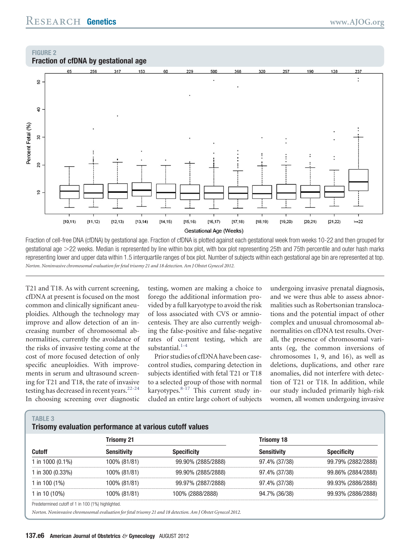## <span id="page-5-1"></span><span id="page-5-0"></span>**FIGURE 2**



Fraction of cell-free DNA (cfDNA) by gestational age. Fraction of cfDNA is plotted against each gestational week from weeks 10-22 and then grouped for gestational age 22 weeks. Median is represented by line within box plot, with box plot representing 25th and 75th percentile and outer hash marks representing lower and upper data within 1.5 interquartile ranges of box plot. Number of subjects within each gestational age bin are represented at top. *Norton. Noninvasive chromosomal evaluation for fetal trisomy 21 and 18 detection. Am J Obstet Gynecol 2012.*

T21 and T18. As with current screening, cfDNA at present is focused on the most common and clinically significant aneuploidies. Although the technology may improve and allow detection of an increasing number of chromosomal abnormalities, currently the avoidance of the risks of invasive testing come at the cost of more focused detection of only specific aneuploidies. With improvements in serum and ultrasound screening for T21 and T18, the rate of invasive testing has decreased in recent years.<sup>22-24</sup> In choosing screening over diagnostic

testing, women are making a choice to forego the additional information provided by a full karyotype to avoid the risk of loss associated with CVS or amniocentesis. They are also currently weighing the false-positive and false-negative rates of current testing, which are substantial.<sup>[1-4](#page-7-0)</sup>

Prior studies of cfDNA have been casecontrol studies, comparing detection in subjects identified with fetal T21 or T18 to a selected group of those with normal karyotypes.[8-17](#page-7-3) This current study included an entire large cohort of subjects undergoing invasive prenatal diagnosis, and we were thus able to assess abnormalities such as Robertsonian translocations and the potential impact of other complex and unusual chromosomal abnormalities on cfDNA test results. Overall, the presence of chromosomal variants (eg, the common inversions of chromosomes 1, 9, and 16), as well as deletions, duplications, and other rare anomalies, did not interfere with detection of T21 or T18. In addition, while our study included primarily high-risk women, all women undergoing invasive

#### **TABLE 3**

## **Trisomy evaluation performance at various cutoff values**

|                  | Trisomv 21   |                    | Trisomy 18    |                    |  |
|------------------|--------------|--------------------|---------------|--------------------|--|
| Cutoff           | Sensitivitv  | <b>Specificity</b> | Sensitivitv   | Specificitv        |  |
| 1 in 1000 (0.1%) | 100% (81/81) | 99.90% (2885/2888) | 97.4% (37/38) | 99.79% (2882/2888) |  |
| 1 in 300 (0.33%) | 100% (81/81) | 99.90% (2885/2888) | 97.4% (37/38) | 99.86% (2884/2888) |  |
| 1 in 100 $(1\%)$ | 100% (81/81) | 99.97% (2887/2888) | 97.4% (37/38) | 99.93% (2886/2888) |  |
| 1 in 10 $(10\%)$ | 100% (81/81) | 100% (2888/2888)   | 94.7% (36/38) | 99.93% (2886/2888) |  |

Predetermined cutoff of 1 in 100 (1%) highlighted.

*Norton. Noninvasive chromosomal evaluation for fetal trisomy 21 and 18 detection. Am J Obstet Gynecol 2012.*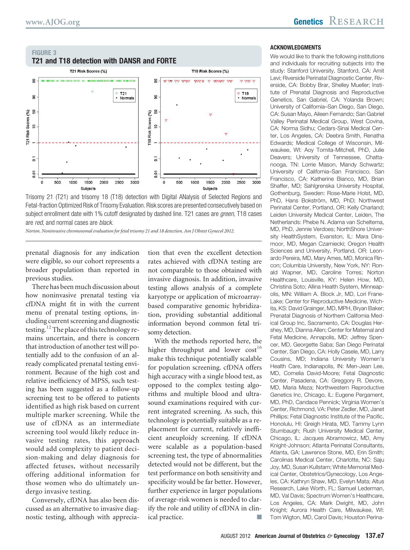<span id="page-6-0"></span>

Trisomy 21 (T21) and trisomy 18 (T18) detection with Digital ANalysis of Selected Regions and Fetal-fraction Optimized Risk of Trisomy Evaluation. Risk scores are presented consecutively based on subject enrollment date with 1% cutoff designated by dashed line. T21 cases are *green*, T18 cases are *red*, and normal cases are *black*.

*Norton. Noninvasive chromosomal evaluation for fetal trisomy 21 and 18 detection. Am J Obstet Gynecol 2012.*

prenatal diagnosis for any indication were eligible, so our cohort represents a broader population than reported in previous studies.

There has been much discussion about how noninvasive prenatal testing via cfDNA might fit in with the current menu of prenatal testing options, including current screening and diagnostic testing.<sup>[12](#page-7-13)</sup> The place of this technology remains uncertain, and there is concern that introduction of another test will potentially add to the confusion of an already complicated prenatal testing environment. Because of the high cost and relative inefficiency of MPSS, such testing has been suggested as a follow-up screening test to be offered to patients identified as high risk based on current multiple marker screening. While the use of cfDNA as an intermediate screening tool would likely reduce invasive testing rates, this approach would add complexity to patient decision-making and delay diagnosis for affected fetuses, without necessarily offering additional information for those women who do ultimately undergo invasive testing.

Conversely, cfDNA has also been discussed as an alternative to invasive diagnostic testing, although with appreciation that even the excellent detection rates achieved with cfDNA testing are not comparable to those obtained with invasive diagnosis. In addition, invasive testing allows analysis of a complete karyotype or application of microarraybased comparative genomic hybridization, providing substantial additional information beyond common fetal trisomy detection.

With the methods reported here, the higher throughput and lower  $cost^{16}$  $cost^{16}$  $cost^{16}$ make this technique potentially scalable for population screening. cfDNA offers high accuracy with a single blood test, as opposed to the complex testing algorithms and multiple blood and ultrasound examinations required with current integrated screening. As such, this technology is potentially suitable as a replacement for current, relatively inefficient aneuploidy screening. If cfDNA were scalable as a population-based screening test, the type of abnormalities detected would not be different, but the test performance on both sensitivity and specificity would be far better. However, further experience in larger populations of average-risk women is needed to clarify the role and utility of cfDNA in clinical practice.

#### **ACKNOWLEDGMENTS**

We would like to thank the following institutions and individuals for recruiting subjects into the study: Stanford University, Stanford, CA: Amit Levi; Riverside Perinatal Diagnostic Center, Riverside, CA: Bobby Brar, Shelley Mueller; Institute of Prenatal Diagnosis and Reproductive Genetics, San Gabriel, CA: Yolanda Brown; University of California–San Diego, San Diego, CA: Susan Mayo, Aileen Fernando; San Gabriel Valley Perinatal Medical Group, West Covina, CA: Norma Sidhu; Cedars-Sinai Medical Center, Los Angeles, CA: Deebra Smith, Renatha Edwards; Medical College of Wisconsin, Milwaukee, WI: Aoy Tomita-Mitchell, PhD, Julie Deavers; University of Tennessee, Chattanooga, TN: Lorrie Mason, Mandy Schwartz; University of California–San Francisco, San Francisco, CA: Katherine Bianco, MD, Brian Shaffer, MD; Sahlgrenska University Hospital, Gothenburg, Sweden: Rose-Marie Holst, MD, PhD, Hans Bokström, MD, PhD; Northwest Perinatal Center, Portland, OR: Kelly Charland; Leiden University Medical Center, Leiden, The Netherlands: Phebe N. Adama van Scheltema, MD, PhD, Jennie Verdoes; NorthShore University HealthSystem, Evanston, IL: Mara Dinsmoor, MD, Megan Czarniecki; Oregon Health Sciences and University, Portland, OR: Leonardo Pereira, MD, Mary Ames, MD, Monica Rincon; Columbia University, New York, NY: Ronald Wapner, MD, Caroline Torres; Norton Healthcare, Louisville, KY: Helen How, MD, Christina Soto; Allina Health System, Minneapolis, MN: William A. Block Jr, MD, Lori Frane-Lake; Center for Reproductive Medicine, Wichita, KS: David Grainger, MD, MPH, Bryan Baker; Prenatal Diagnosis of Northern California Medical Group Inc, Sacramento, CA: Douglas Hershey, MD, Dianna Allen; Center for Maternal and Fetal Medicine, Annapolis, MD: Jeffrey Spencer, MD, Georgette Saba; San Diego Perinatal Center, San Diego, CA: Holly Casele, MD, Larry Cousins, MD; Indiana University Women's Health Care, Indianapolis, IN: Men-Jean Lee, MD, Cornelia David-Moore; Fetal Diagnostic Center, Pasadena, CA: Greggory R. Devore, MD, Maria Meza; Northwestern Reproductive Genetics Inc, Chicago, IL: Eugene Pergament, MD, PhD, Candace Pennick; Virginia Women's Center, Richmond, VA: Peter Zedler, MD, Janet Phillips; Fetal Diagnostic Institute of the Pacific, Honolulu, HI: Greigh Hirata, MD, Tammy Lynn Stumbaugh; Rush University Medical Center, Chicago, IL: Jacques Abramowicz, MD, Amy Knight-Johnson; Atlanta Perinatal Consultants, Atlanta, GA: Lawrence Stone, MD, Erin Smith; Carolinas Medical Center, Charlotte, NC: Saju Joy, MD, Susan Kullstam; White Memorial Medical Center, Obstetrics/Gynecology, Los Angeles, CA: Kathryn Shaw, MD, Evelyn Mata; Altus Research, Lake Worth, FL: Samuel Lederman, MD, Val Davis; Spectrum Women's Healthcare, Los Angeles, CA: Mark Dwight, MD, John Knight; Aurora Health Care, Milwaukee, WI: Tom Wigton, MD, Carol Davis; Houston Perina-